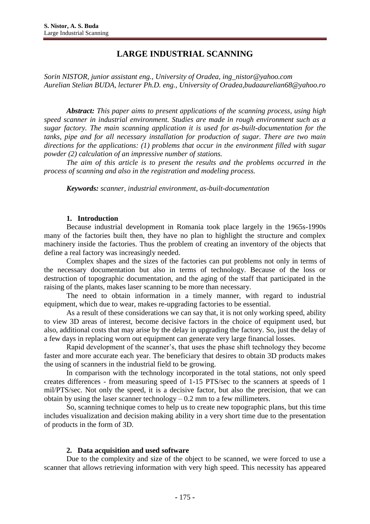# **LARGE INDUSTRIAL SCANNING**

*Sorin NISTOR, junior assistant eng., University of Oradea, ing\_nistor@yahoo.com Aurelian Stelian BUDA, lecturer Ph.D. eng., University of Oradea,budaaurelian68@yahoo.ro*

*Abstract: This paper aims to present applications of the scanning process, using high speed scanner in industrial environment. Studies are made in rough environment such as a sugar factory. The main scanning application it is used for as-built-documentation for the tanks, pipe and for all necessary installation for production of sugar. There are two main directions for the applications: (1) problems that occur in the environment filled with sugar powder (2) calculation of an impressive number of stations.*

*The aim of this article is to present the results and the problems occurred in the process of scanning and also in the registration and modeling process.*

*Keywords: scanner, industrial environment, as-built-documentation*

### **1. Introduction**

Because industrial development in Romania took place largely in the 1965s-1990s many of the factories built then, they have no plan to highlight the structure and complex machinery inside the factories. Thus the problem of creating an inventory of the objects that define a real factory was increasingly needed.

Complex shapes and the sizes of the factories can put problems not only in terms of the necessary documentation but also in terms of technology. Because of the loss or destruction of topographic documentation, and the aging of the staff that participated in the raising of the plants, makes laser scanning to be more than necessary.

The need to obtain information in a timely manner, with regard to industrial equipment, which due to wear, makes re-upgrading factories to be essential.

As a result of these considerations we can say that, it is not only working speed, ability to view 3D areas of interest, become decisive factors in the choice of equipment used, but also, additional costs that may arise by the delay in upgrading the factory. So, just the delay of a few days in replacing worn out equipment can generate very large financial losses.

Rapid development of the scanner's, that uses the phase shift technology they become faster and more accurate each year. The beneficiary that desires to obtain 3D products makes the using of scanners in the industrial field to be growing.

In comparison with the technology incorporated in the total stations, not only speed creates differences - from measuring speed of 1-15 PTS/sec to the scanners at speeds of 1 mil/PTS/sec. Not only the speed, it is a decisive factor, but also the precision, that we can obtain by using the laser scanner technology  $-0.2$  mm to a few millimeters.

So, scanning technique comes to help us to create new topographic plans, but this time includes visualization and decision making ability in a very short time due to the presentation of products in the form of 3D.

### **2. Data acquisition and used software**

Due to the complexity and size of the object to be scanned, we were forced to use a scanner that allows retrieving information with very high speed. This necessity has appeared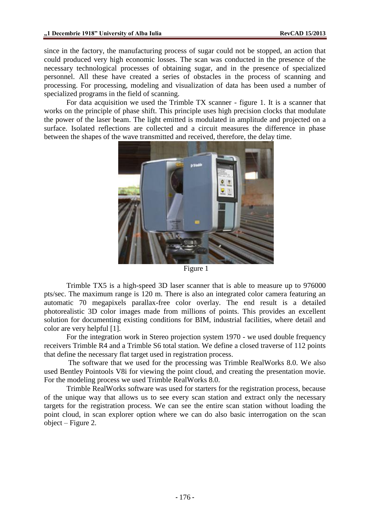since in the factory, the manufacturing process of sugar could not be stopped, an action that could produced very high economic losses. The scan was conducted in the presence of the necessary technological processes of obtaining sugar, and in the presence of specialized personnel. All these have created a series of obstacles in the process of scanning and processing. For processing, modeling and visualization of data has been used a number of specialized programs in the field of scanning.

For data acquisition we used the Trimble TX scanner - figure 1. It is a scanner that works on the principle of phase shift. This principle uses high precision clocks that modulate the power of the laser beam. The light emitted is modulated in amplitude and projected on a surface. Isolated reflections are collected and a circuit measures the difference in phase between the shapes of the wave transmitted and received, therefore, the delay time.



Figure 1

Trimble TX5 is a high-speed 3D laser scanner that is able to measure up to 976000 pts/sec. The maximum range is 120 m. There is also an integrated color camera featuring an automatic 70 megapixels parallax-free color overlay. The end result is a detailed photorealistic 3D color images made from millions of points. This provides an excellent solution for documenting existing conditions for BIM, industrial facilities, where detail and color are very helpful [1].

For the integration work in Stereo projection system 1970 - we used double frequency receivers Trimble R4 and a Trimble S6 total station. We define a closed traverse of 112 points that define the necessary flat target used in registration process.

The software that we used for the processing was Trimble RealWorks 8.0. We also used Bentley Pointools V8i for viewing the point cloud, and creating the presentation movie. For the modeling process we used Trimble RealWorks 8.0.

Trimble RealWorks software was used for starters for the registration process, because of the unique way that allows us to see every scan station and extract only the necessary targets for the registration process. We can see the entire scan station without loading the point cloud, in scan explorer option where we can do also basic interrogation on the scan object – Figure 2.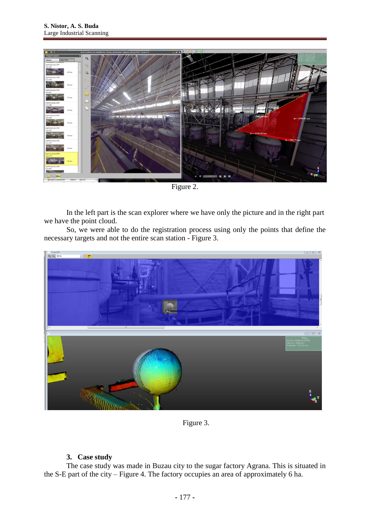

Figure 2.

In the left part is the scan explorer where we have only the picture and in the right part we have the point cloud.

So, we were able to do the registration process using only the points that define the necessary targets and not the entire scan station - Figure 3.



Figure 3.

## **3. Case study**

The case study was made in Buzau city to the sugar factory Agrana. This is situated in the S-E part of the city – Figure 4. The factory occupies an area of approximately 6 ha.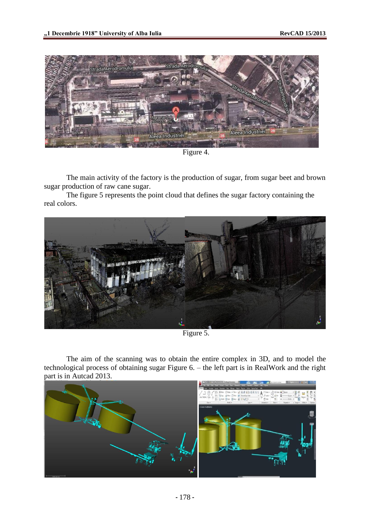

Figure 4.

The main activity of the factory is the production of sugar, from sugar beet and brown sugar production of raw cane sugar.

The figure 5 represents the point cloud that defines the sugar factory containing the real colors.



Figure 5.

The aim of the scanning was to obtain the entire complex in 3D, and to model the technological process of obtaining sugar Figure 6. – the left part is in RealWork and the right part is in Autcad 2013.

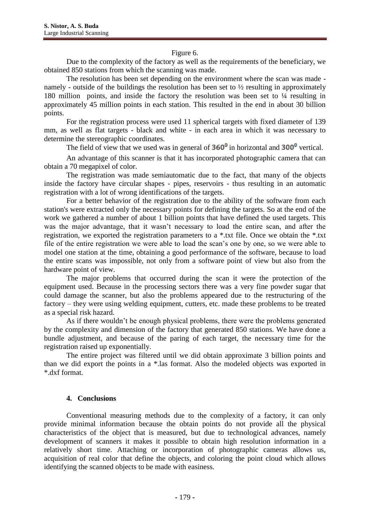#### Figure 6.

Due to the complexity of the factory as well as the requirements of the beneficiary, we obtained 850 stations from which the scanning was made.

The resolution has been set depending on the environment where the scan was made namely - outside of the buildings the resolution has been set to ½ resulting in approximately 180 million points, and inside the factory the resolution was been set to ¼ resulting in approximately 45 million points in each station. This resulted in the end in about 30 billion points.

For the registration process were used 11 spherical targets with fixed diameter of 139 mm, as well as flat targets - black and white - in each area in which it was necessary to determine the stereographic coordinates.

The field of view that we used was in general of  $360^{\circ}$  in horizontal and  $300^{\circ}$  vertical.

An advantage of this scanner is that it has incorporated photographic camera that can obtain a 70 megapixel of color.

The registration was made semiautomatic due to the fact, that many of the objects inside the factory have circular shapes - pipes, reservoirs - thus resulting in an automatic registration with a lot of wrong identifications of the targets.

For a better behavior of the registration due to the ability of the software from each station's were extracted only the necessary points for defining the targets. So at the end of the work we gathered a number of about 1 billion points that have defined the used targets. This was the major advantage, that it wasn't necessary to load the entire scan, and after the registration, we exported the registration parameters to a \*.txt file. Once we obtain the \*.txt file of the entire registration we were able to load the scan's one by one, so we were able to model one station at the time, obtaining a good performance of the software, because to load the entire scans was impossible, not only from a software point of view but also from the hardware point of view.

The major problems that occurred during the scan it were the protection of the equipment used. Because in the processing sectors there was a very fine powder sugar that could damage the scanner, but also the problems appeared due to the restructuring of the factory – they were using welding equipment, cutters, etc. made these problems to be treated as a special risk hazard.

As if there wouldn't be enough physical problems, there were the problems generated by the complexity and dimension of the factory that generated 850 stations. We have done a bundle adjustment, and because of the paring of each target, the necessary time for the registration raised up exponentially.

The entire project was filtered until we did obtain approximate 3 billion points and than we did export the points in a \*.las format. Also the modeled objects was exported in \*.dxf format.

### **4. Conclusions**

Conventional measuring methods due to the complexity of a factory, it can only provide minimal information because the obtain points do not provide all the physical characteristics of the object that is measured, but due to technological advances, namely development of scanners it makes it possible to obtain high resolution information in a relatively short time. Attaching or incorporation of photographic cameras allows us, acquisition of real color that define the objects, and coloring the point cloud which allows identifying the scanned objects to be made with easiness.